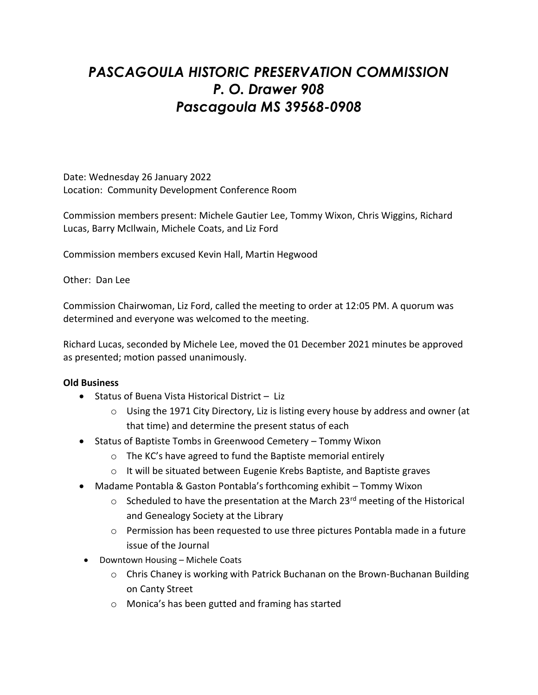# *PASCAGOULA HISTORIC PRESERVATION COMMISSION P. O. Drawer 908 Pascagoula MS 39568-0908*

Date: Wednesday 26 January 2022 Location: Community Development Conference Room

Commission members present: Michele Gautier Lee, Tommy Wixon, Chris Wiggins, Richard Lucas, Barry McIlwain, Michele Coats, and Liz Ford

Commission members excused Kevin Hall, Martin Hegwood

Other: Dan Lee

Commission Chairwoman, Liz Ford, called the meeting to order at 12:05 PM. A quorum was determined and everyone was welcomed to the meeting.

Richard Lucas, seconded by Michele Lee, moved the 01 December 2021 minutes be approved as presented; motion passed unanimously.

### **Old Business**

- Status of Buena Vista Historical District Liz
	- $\circ$  Using the 1971 City Directory, Liz is listing every house by address and owner (at that time) and determine the present status of each
- Status of Baptiste Tombs in Greenwood Cemetery Tommy Wixon
	- o The KC's have agreed to fund the Baptiste memorial entirely
	- o It will be situated between Eugenie Krebs Baptiste, and Baptiste graves
- Madame Pontabla & Gaston Pontabla's forthcoming exhibit Tommy Wixon
	- $\circ$  Scheduled to have the presentation at the March 23<sup>rd</sup> meeting of the Historical and Genealogy Society at the Library
	- o Permission has been requested to use three pictures Pontabla made in a future issue of the Journal
- Downtown Housing Michele Coats
	- o Chris Chaney is working with Patrick Buchanan on the Brown-Buchanan Building on Canty Street
	- o Monica's has been gutted and framing has started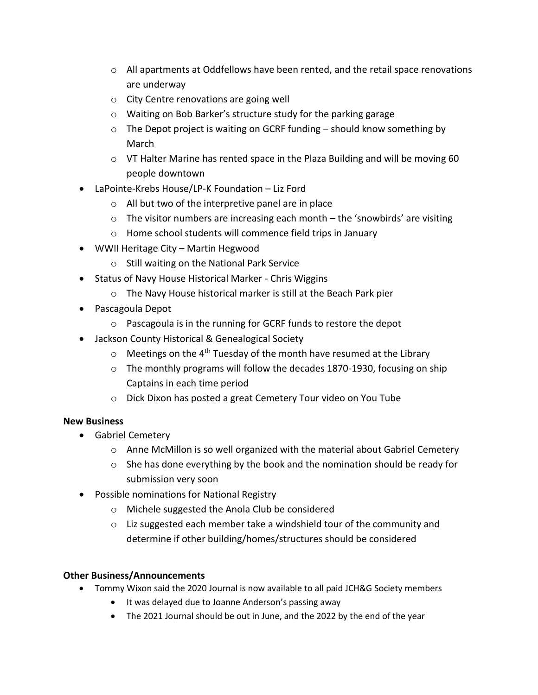- $\circ$  All apartments at Oddfellows have been rented, and the retail space renovations are underway
- o City Centre renovations are going well
- o Waiting on Bob Barker's structure study for the parking garage
- $\circ$  The Depot project is waiting on GCRF funding should know something by March
- o VT Halter Marine has rented space in the Plaza Building and will be moving 60 people downtown
- LaPointe-Krebs House/LP-K Foundation Liz Ford
	- o All but two of the interpretive panel are in place
	- $\circ$  The visitor numbers are increasing each month the 'snowbirds' are visiting
	- o Home school students will commence field trips in January
- WWII Heritage City Martin Hegwood
	- o Still waiting on the National Park Service
- Status of Navy House Historical Marker Chris Wiggins
	- o The Navy House historical marker is still at the Beach Park pier
- Pascagoula Depot
	- o Pascagoula is in the running for GCRF funds to restore the depot
- Jackson County Historical & Genealogical Society
	- $\circ$  Meetings on the 4<sup>th</sup> Tuesday of the month have resumed at the Library
	- $\circ$  The monthly programs will follow the decades 1870-1930, focusing on ship Captains in each time period
	- o Dick Dixon has posted a great Cemetery Tour video on You Tube

# **New Business**

- Gabriel Cemetery
	- $\circ$  Anne McMillon is so well organized with the material about Gabriel Cemetery
	- $\circ$  She has done everything by the book and the nomination should be ready for submission very soon
- Possible nominations for National Registry
	- o Michele suggested the Anola Club be considered
	- o Liz suggested each member take a windshield tour of the community and determine if other building/homes/structures should be considered

# **Other Business/Announcements**

- Tommy Wixon said the 2020 Journal is now available to all paid JCH&G Society members
	- It was delayed due to Joanne Anderson's passing away
	- The 2021 Journal should be out in June, and the 2022 by the end of the year